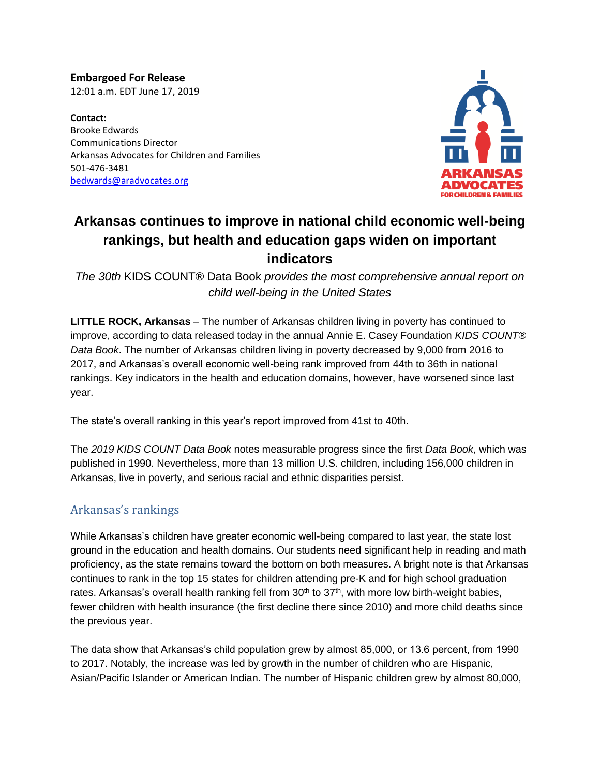**Embargoed For Release** 12:01 a.m. EDT June 17, 2019

**Contact:** Brooke Edwards Communications Director Arkansas Advocates for Children and Families 501-476-3481 [bedwards@aradvocates.org](mailto:bedwards@aradvocates.org)



# **Arkansas continues to improve in national child economic well-being rankings, but health and education gaps widen on important indicators**

*The 30th* KIDS COUNT® Data Book *provides the most comprehensive annual report on child well-being in the United States*

**LITTLE ROCK, Arkansas** – The number of Arkansas children living in poverty has continued to improve, according to data released today in the annual Annie E. Casey Foundation *KIDS COUNT® Data Book*. The number of Arkansas children living in poverty decreased by 9,000 from 2016 to 2017, and Arkansas's overall economic well-being rank improved from 44th to 36th in national rankings. Key indicators in the health and education domains, however, have worsened since last year.

The state's overall ranking in this year's report improved from 41st to 40th.

The *2019 KIDS COUNT Data Book* notes measurable progress since the first *Data Book*, which was published in 1990. Nevertheless, more than 13 million U.S. children, including 156,000 children in Arkansas, live in poverty, and serious racial and ethnic disparities persist.

## Arkansas's rankings

While Arkansas's children have greater economic well-being compared to last year, the state lost ground in the education and health domains. Our students need significant help in reading and math proficiency, as the state remains toward the bottom on both measures. A bright note is that Arkansas continues to rank in the top 15 states for children attending pre-K and for high school graduation rates. Arkansas's overall health ranking fell from 30<sup>th</sup> to 37<sup>th</sup>, with more low birth-weight babies, fewer children with health insurance (the first decline there since 2010) and more child deaths since the previous year.

The data show that Arkansas's child population grew by almost 85,000, or 13.6 percent, from 1990 to 2017. Notably, the increase was led by growth in the number of children who are Hispanic, Asian/Pacific Islander or American Indian. The number of Hispanic children grew by almost 80,000,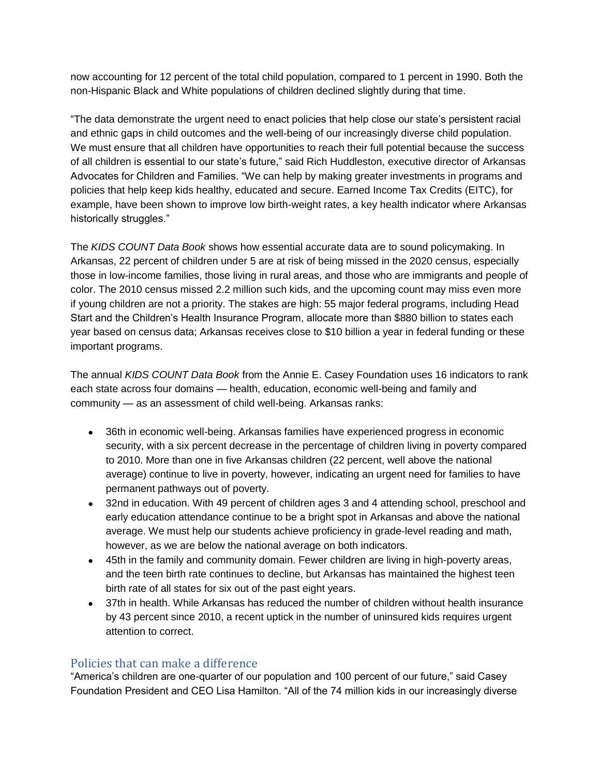now accounting for 12 percent of the total child population, compared to 1 percent in 1990. Both the non-Hispanic Black and White populations of children declined slightly during that time.

"The data demonstrate the urgent need to enact policies that help close our state's persistent racial and ethnic gaps in child outcomes and the well-being of our increasingly diverse child population. We must ensure that all children have opportunities to reach their full potential because the success of all children is essential to our state's future," said Rich Huddleston, executive director of Arkansas Advocates for Children and Families. "We can help by making greater investments in programs and policies that help keep kids healthy, educated and secure. Earned Income Tax Credits (EITC), for example, have been shown to improve low birth-weight rates, a key health indicator where Arkansas historically struggles."

The *KIDS COUNT Data Book* shows how essential accurate data are to sound policymaking. In Arkansas, 22 percent of children under 5 are at risk of being missed in the 2020 census, especially those in low-income families, those living in rural areas, and those who are immigrants and people of color. The 2010 census missed 2.2 million such kids, and the upcoming count may miss even more if young children are not a priority. The stakes are high: 55 major federal programs, including Head Start and the Children's Health Insurance Program, allocate more than \$880 billion to states each year based on census data; Arkansas receives close to \$10 billion a year in federal funding or these important programs.

The annual *KIDS COUNT Data Book* from the Annie E. Casey Foundation uses 16 indicators to rank each state across four domains — health, education, economic well-being and family and community — as an assessment of child well-being. Arkansas ranks:

- 36th in economic well-being. Arkansas families have experienced progress in economic security, with a six percent decrease in the percentage of children living in poverty compared to 2010. More than one in five Arkansas children (22 percent, well above the national average) continue to live in poverty, however, indicating an urgent need for families to have permanent pathways out of poverty.
- 32nd in education. With 49 percent of children ages 3 and 4 attending school, preschool and early education attendance continue to be a bright spot in Arkansas and above the national average. We must help our students achieve proficiency in grade-level reading and math, however, as we are below the national average on both indicators.
- 45th in the family and community domain. Fewer children are living in high-poverty areas, and the teen birth rate continues to decline, but Arkansas has maintained the highest teen birth rate of all states for six out of the past eight years.
- 37th in health. While Arkansas has reduced the number of children without health insurance by 43 percent since 2010, a recent uptick in the number of uninsured kids requires urgent attention to correct.

### Policies that can make a difference

"America's children are one-quarter of our population and 100 percent of our future," said Casey Foundation President and CEO Lisa Hamilton. "All of the 74 million kids in our increasingly diverse